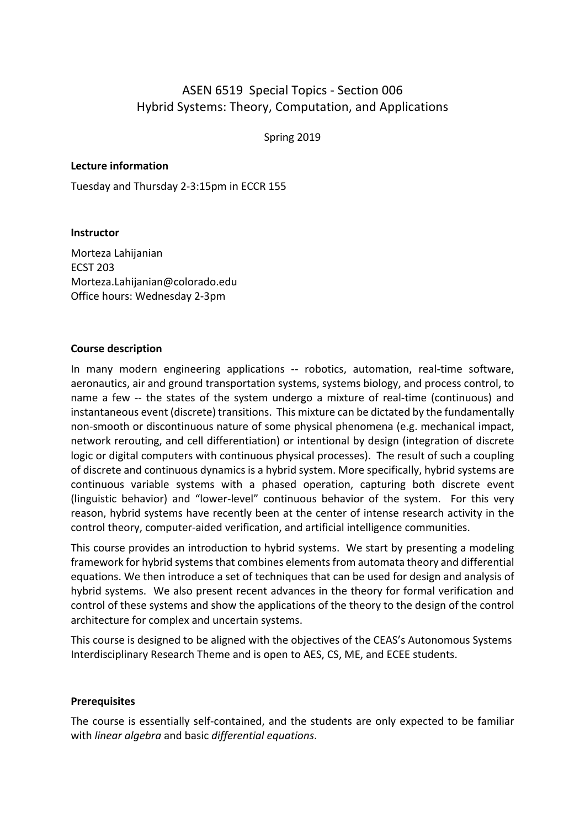# ASEN 6519 Special Topics - Section 006 Hybrid Systems: Theory, Computation, and Applications

Spring 2019

#### **Lecture information**

Tuesday and Thursday 2-3:15pm in ECCR 155

#### **Instructor**

Morteza Lahijanian ECST 203 Morteza.Lahijanian@colorado.edu Office hours: Wednesday 2-3pm

#### **Course description**

In many modern engineering applications -- robotics, automation, real-time software, aeronautics, air and ground transportation systems, systems biology, and process control, to name a few -- the states of the system undergo a mixture of real-time (continuous) and instantaneous event (discrete) transitions. This mixture can be dictated by the fundamentally non-smooth or discontinuous nature of some physical phenomena (e.g. mechanical impact, network rerouting, and cell differentiation) or intentional by design (integration of discrete logic or digital computers with continuous physical processes). The result of such a coupling of discrete and continuous dynamics is a hybrid system. More specifically, hybrid systems are continuous variable systems with a phased operation, capturing both discrete event (linguistic behavior) and "lower-level" continuous behavior of the system. For this very reason, hybrid systems have recently been at the center of intense research activity in the control theory, computer-aided verification, and artificial intelligence communities.

This course provides an introduction to hybrid systems. We start by presenting a modeling framework for hybrid systems that combines elements from automata theory and differential equations. We then introduce a set of techniques that can be used for design and analysis of hybrid systems. We also present recent advances in the theory for formal verification and control of these systems and show the applications of the theory to the design of the control architecture for complex and uncertain systems.

This course is designed to be aligned with the objectives of the CEAS's Autonomous Systems Interdisciplinary Research Theme and is open to AES, CS, ME, and ECEE students.

#### **Prerequisites**

The course is essentially self-contained, and the students are only expected to be familiar with *linear algebra* and basic *differential equations*.